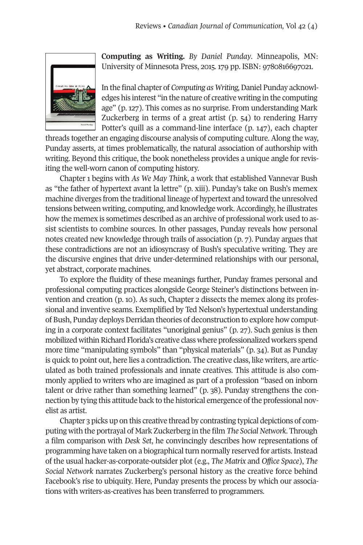

**Computing as Writing.** *By Daniel Punday*. Minneapolis, MN: University of Minnesota Press, 2015. 179 pp. ISBN: 9780816697021.

In the final chapter of *Computing as Writing,*Daniel Punday acknowledges his interest "in the nature of creative writing in the computing age" (p. 127). This comes as no surprise. From understanding Mark Zuckerberg in terms of a great artist (p. 54) to rendering Harry Potter's quill as a command-line interface (p. 147), each chapter

threads together an engaging discourse analysis of computing culture. Along the way, Punday asserts, at times problematically, the natural association of authorship with writing. Beyond this critique, the book nonetheless provides a unique angle for revisiting the well-worn canon of computing history.

Chapter 1 begins with *As We May Think*, a work that established Vannevar Bush as "the father of hypertext avant la lettre" (p. xiii). Punday's take on Bush's memex machine diverges from the traditional lineage of hypertext and toward the unresolved tensions between writing, computing, and knowledge work. Accordingly, he illustrates how the memex is sometimes described as an archive of professional work used to assist scientists to combine sources. In other passages, Punday reveals how personal notes created new knowledge through trails of association (p. 7). Punday argues that these contradictions are not an idiosyncrasy of Bush's speculative writing. They are the discursive engines that drive under-determined relationships with our personal, yet abstract, corporate machines.

To explore the fluidity of these meanings further, Punday frames personal and professional computing practices alongside George Steiner's distinctions between invention and creation (p. 10). As such, Chapter 2 dissects the memex along its professional and inventive seams. Exemplified by Ted Nelson's hypertextual understanding of Bush, Punday deploys Derridan theories of deconstruction to explore how computing in a corporate context facilitates "unoriginal genius" (p. 27). Such genius is then mobilized within Richard Florida's creative class where professionalized workers spend more time "manipulating symbols" than "physical materials" (p. 34). But as Punday is quick to point out, here lies a contradiction. The creative class, like writers, are articulated as both trained professionals and innate creatives. This attitude is also commonly applied to writers who are imagined as part of a profession "based on inborn talent or drive rather than something learned" (p. 38). Punday strengthens the connection by tying this attitude back to the historical emergence ofthe professional novelist as artist.

Chapter 3 picks up on this creative thread by contrasting typical depictions of computing with the portrayal of Mark Zuckerberg in the film *The Social Network*. Through a film comparison with *Desk Set*, he convincingly describes how representations of programming have taken on a biographical turn normally reserved for artists. Instead of the usual hacker-as-corporate-outsider plot (e.g., *The Matrix* and *Office Space*), *The Social Network* narrates Zuckerberg's personal history as the creative force behind Facebook's rise to ubiquity. Here, Punday presents the process by which our associations with writers-as-creatives has been transferred to programmers.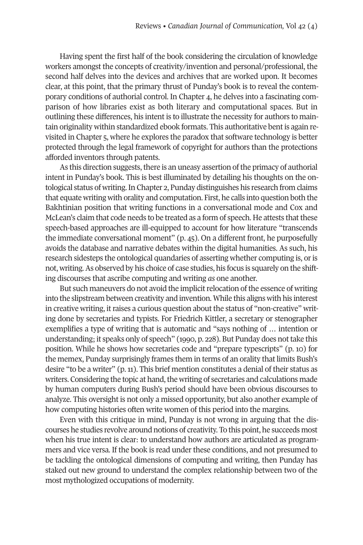Having spent the first half of the book considering the circulation of knowledge workers amongst the concepts of creativity/invention and personal/professional, the second half delves into the devices and archives that are worked upon. It becomes clear, at this point, that the primary thrust of Punday's book is to reveal the contemporary conditions of authorial control. In Chapter 4, he delves into a fascinating comparison of how libraries exist as both literary and computational spaces. But in outlining these differences, his intent is to illustrate the necessity for authors to maintain originality within standardized ebook formats. This authoritative bentis again revisited in Chapter 5, where he explores the paradox that software technology is better protected through the legal framework of copyright for authors than the protections afforded inventors through patents.

As this direction suggests, there is an uneasy assertion of the primacy of authorial intent in Punday's book. This is best illuminated by detailing his thoughts on the ontological status of writing.In Chapter 2, Punday distinguishes his research from claims that equate writing with orality and computation. First, he calls into question both the Bakhtinian position that writing functions in a conversational mode and Cox and McLean's claim that code needs to be treated as a form of speech. He attests that these speech-based approaches are ill-equipped to account for how literature "transcends the immediate conversational moment" (p. 45). On a different front, he purposefully avoids the database and narrative debates within the digital humanities. As such, his research sidesteps the ontological quandaries of asserting whether computing is, oris not, writing.As observed by his choice of case studies, his focus is squarely on the shifting discourses that ascribe computing and writing *as* one another.

But such maneuvers do not avoid the implicit relocation of the essence of writing into the slipstream between creativity and invention. While this aligns with his interest in creative writing, it raises a curious question about the status of "non-creative" writing done by secretaries and typists. For Friedrich Kittler, a secretary or stenographer exemplifies a type of writing that is automatic and "says nothing of … intention or understanding; it speaks only of speech" (1990, p. 228). But Punday does nottake this position. While he shows how secretaries code and "prepare typescripts" (p. 10) for the memex, Punday surprisingly frames them in terms of an orality that limits Bush's desire "to be a writer" (p. 11). This brief mention constitutes a denial of their status as writers. Considering the topic at hand, the writing of secretaries and calculations made by human computers during Bush's period should have been obvious discourses to analyze. This oversight is not only a missed opportunity, but also another example of how computing histories often write women of this period into the margins.

Even with this critique in mind, Punday is not wrong in arguing that the discourses he studies revolve around notions of creativity. To this point, he succeeds most when his true intent is clear: to understand how authors are articulated as programmers and vice versa. If the book is read under these conditions, and not presumed to be tackling the ontological dimensions of computing and writing, then Punday has staked out new ground to understand the complex relationship between two of the most mythologized occupations of modernity.